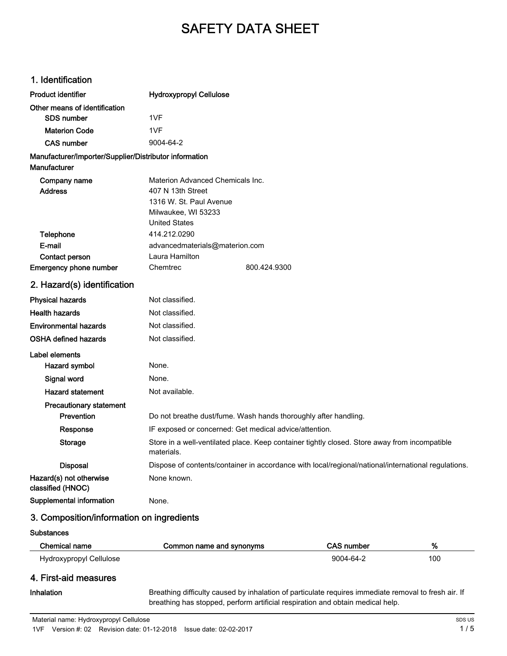# SAFETY DATA SHEET

#### 1. Identification

| Other means of identification<br>1VF<br><b>SDS number</b><br>1VF<br><b>Materion Code</b><br><b>CAS number</b><br>9004-64-2<br>Manufacturer/Importer/Supplier/Distributor information<br>Manufacturer<br>Materion Advanced Chemicals Inc.<br>Company name<br><b>Address</b><br>407 N 13th Street<br>1316 W. St. Paul Avenue<br>Milwaukee, WI 53233<br><b>United States</b><br>Telephone<br>414.212.0290<br>E-mail<br>advancedmaterials@materion.com<br>Laura Hamilton<br><b>Contact person</b><br>Emergency phone number<br>Chemtrec<br>800.424.9300<br>2. Hazard(s) identification<br>Not classified.<br><b>Physical hazards</b><br><b>Health hazards</b><br>Not classified.<br><b>Environmental hazards</b><br>Not classified.<br>Not classified.<br>OSHA defined hazards<br>Label elements<br>None.<br>Hazard symbol<br>Signal word<br>None.<br><b>Hazard statement</b><br>Not available.<br><b>Precautionary statement</b><br>Prevention<br>Do not breathe dust/fume. Wash hands thoroughly after handling.<br>IF exposed or concerned: Get medical advice/attention.<br>Response<br>Store in a well-ventilated place. Keep container tightly closed. Store away from incompatible<br>Storage<br>materials.<br><b>Disposal</b><br>Dispose of contents/container in accordance with local/regional/national/international regulations.<br>Hazard(s) not otherwise<br>None known.<br>classified (HNOC)<br>Supplemental information<br>None. | <b>Product identifier</b> | <b>Hydroxypropyl Cellulose</b> |  |
|----------------------------------------------------------------------------------------------------------------------------------------------------------------------------------------------------------------------------------------------------------------------------------------------------------------------------------------------------------------------------------------------------------------------------------------------------------------------------------------------------------------------------------------------------------------------------------------------------------------------------------------------------------------------------------------------------------------------------------------------------------------------------------------------------------------------------------------------------------------------------------------------------------------------------------------------------------------------------------------------------------------------------------------------------------------------------------------------------------------------------------------------------------------------------------------------------------------------------------------------------------------------------------------------------------------------------------------------------------------------------------------------------------------------------------------------|---------------------------|--------------------------------|--|
|                                                                                                                                                                                                                                                                                                                                                                                                                                                                                                                                                                                                                                                                                                                                                                                                                                                                                                                                                                                                                                                                                                                                                                                                                                                                                                                                                                                                                                              |                           |                                |  |
|                                                                                                                                                                                                                                                                                                                                                                                                                                                                                                                                                                                                                                                                                                                                                                                                                                                                                                                                                                                                                                                                                                                                                                                                                                                                                                                                                                                                                                              |                           |                                |  |
|                                                                                                                                                                                                                                                                                                                                                                                                                                                                                                                                                                                                                                                                                                                                                                                                                                                                                                                                                                                                                                                                                                                                                                                                                                                                                                                                                                                                                                              |                           |                                |  |
|                                                                                                                                                                                                                                                                                                                                                                                                                                                                                                                                                                                                                                                                                                                                                                                                                                                                                                                                                                                                                                                                                                                                                                                                                                                                                                                                                                                                                                              |                           |                                |  |
|                                                                                                                                                                                                                                                                                                                                                                                                                                                                                                                                                                                                                                                                                                                                                                                                                                                                                                                                                                                                                                                                                                                                                                                                                                                                                                                                                                                                                                              |                           |                                |  |
|                                                                                                                                                                                                                                                                                                                                                                                                                                                                                                                                                                                                                                                                                                                                                                                                                                                                                                                                                                                                                                                                                                                                                                                                                                                                                                                                                                                                                                              |                           |                                |  |
|                                                                                                                                                                                                                                                                                                                                                                                                                                                                                                                                                                                                                                                                                                                                                                                                                                                                                                                                                                                                                                                                                                                                                                                                                                                                                                                                                                                                                                              |                           |                                |  |
|                                                                                                                                                                                                                                                                                                                                                                                                                                                                                                                                                                                                                                                                                                                                                                                                                                                                                                                                                                                                                                                                                                                                                                                                                                                                                                                                                                                                                                              |                           |                                |  |
|                                                                                                                                                                                                                                                                                                                                                                                                                                                                                                                                                                                                                                                                                                                                                                                                                                                                                                                                                                                                                                                                                                                                                                                                                                                                                                                                                                                                                                              |                           |                                |  |
|                                                                                                                                                                                                                                                                                                                                                                                                                                                                                                                                                                                                                                                                                                                                                                                                                                                                                                                                                                                                                                                                                                                                                                                                                                                                                                                                                                                                                                              |                           |                                |  |
|                                                                                                                                                                                                                                                                                                                                                                                                                                                                                                                                                                                                                                                                                                                                                                                                                                                                                                                                                                                                                                                                                                                                                                                                                                                                                                                                                                                                                                              |                           |                                |  |
|                                                                                                                                                                                                                                                                                                                                                                                                                                                                                                                                                                                                                                                                                                                                                                                                                                                                                                                                                                                                                                                                                                                                                                                                                                                                                                                                                                                                                                              |                           |                                |  |
|                                                                                                                                                                                                                                                                                                                                                                                                                                                                                                                                                                                                                                                                                                                                                                                                                                                                                                                                                                                                                                                                                                                                                                                                                                                                                                                                                                                                                                              |                           |                                |  |
|                                                                                                                                                                                                                                                                                                                                                                                                                                                                                                                                                                                                                                                                                                                                                                                                                                                                                                                                                                                                                                                                                                                                                                                                                                                                                                                                                                                                                                              |                           |                                |  |
|                                                                                                                                                                                                                                                                                                                                                                                                                                                                                                                                                                                                                                                                                                                                                                                                                                                                                                                                                                                                                                                                                                                                                                                                                                                                                                                                                                                                                                              |                           |                                |  |
|                                                                                                                                                                                                                                                                                                                                                                                                                                                                                                                                                                                                                                                                                                                                                                                                                                                                                                                                                                                                                                                                                                                                                                                                                                                                                                                                                                                                                                              |                           |                                |  |
|                                                                                                                                                                                                                                                                                                                                                                                                                                                                                                                                                                                                                                                                                                                                                                                                                                                                                                                                                                                                                                                                                                                                                                                                                                                                                                                                                                                                                                              |                           |                                |  |
|                                                                                                                                                                                                                                                                                                                                                                                                                                                                                                                                                                                                                                                                                                                                                                                                                                                                                                                                                                                                                                                                                                                                                                                                                                                                                                                                                                                                                                              |                           |                                |  |
|                                                                                                                                                                                                                                                                                                                                                                                                                                                                                                                                                                                                                                                                                                                                                                                                                                                                                                                                                                                                                                                                                                                                                                                                                                                                                                                                                                                                                                              |                           |                                |  |
|                                                                                                                                                                                                                                                                                                                                                                                                                                                                                                                                                                                                                                                                                                                                                                                                                                                                                                                                                                                                                                                                                                                                                                                                                                                                                                                                                                                                                                              |                           |                                |  |
|                                                                                                                                                                                                                                                                                                                                                                                                                                                                                                                                                                                                                                                                                                                                                                                                                                                                                                                                                                                                                                                                                                                                                                                                                                                                                                                                                                                                                                              |                           |                                |  |
|                                                                                                                                                                                                                                                                                                                                                                                                                                                                                                                                                                                                                                                                                                                                                                                                                                                                                                                                                                                                                                                                                                                                                                                                                                                                                                                                                                                                                                              |                           |                                |  |
|                                                                                                                                                                                                                                                                                                                                                                                                                                                                                                                                                                                                                                                                                                                                                                                                                                                                                                                                                                                                                                                                                                                                                                                                                                                                                                                                                                                                                                              |                           |                                |  |
|                                                                                                                                                                                                                                                                                                                                                                                                                                                                                                                                                                                                                                                                                                                                                                                                                                                                                                                                                                                                                                                                                                                                                                                                                                                                                                                                                                                                                                              |                           |                                |  |
|                                                                                                                                                                                                                                                                                                                                                                                                                                                                                                                                                                                                                                                                                                                                                                                                                                                                                                                                                                                                                                                                                                                                                                                                                                                                                                                                                                                                                                              |                           |                                |  |
|                                                                                                                                                                                                                                                                                                                                                                                                                                                                                                                                                                                                                                                                                                                                                                                                                                                                                                                                                                                                                                                                                                                                                                                                                                                                                                                                                                                                                                              |                           |                                |  |
|                                                                                                                                                                                                                                                                                                                                                                                                                                                                                                                                                                                                                                                                                                                                                                                                                                                                                                                                                                                                                                                                                                                                                                                                                                                                                                                                                                                                                                              |                           |                                |  |
|                                                                                                                                                                                                                                                                                                                                                                                                                                                                                                                                                                                                                                                                                                                                                                                                                                                                                                                                                                                                                                                                                                                                                                                                                                                                                                                                                                                                                                              |                           |                                |  |
|                                                                                                                                                                                                                                                                                                                                                                                                                                                                                                                                                                                                                                                                                                                                                                                                                                                                                                                                                                                                                                                                                                                                                                                                                                                                                                                                                                                                                                              |                           |                                |  |
|                                                                                                                                                                                                                                                                                                                                                                                                                                                                                                                                                                                                                                                                                                                                                                                                                                                                                                                                                                                                                                                                                                                                                                                                                                                                                                                                                                                                                                              |                           |                                |  |
|                                                                                                                                                                                                                                                                                                                                                                                                                                                                                                                                                                                                                                                                                                                                                                                                                                                                                                                                                                                                                                                                                                                                                                                                                                                                                                                                                                                                                                              |                           |                                |  |

### 3. Composition/information on ingredients

#### **Substances**

| Chemical name           | Common name and synonyms | CAS number | %   |
|-------------------------|--------------------------|------------|-----|
| Hydroxypropyl Cellulose |                          | 9004-64-2  | 100 |
| 4. First-aid measures   |                          |            |     |

Inhalation

Breathing difficulty caused by inhalation of particulate requires immediate removal to fresh air. If breathing has stopped, perform artificial respiration and obtain medical help.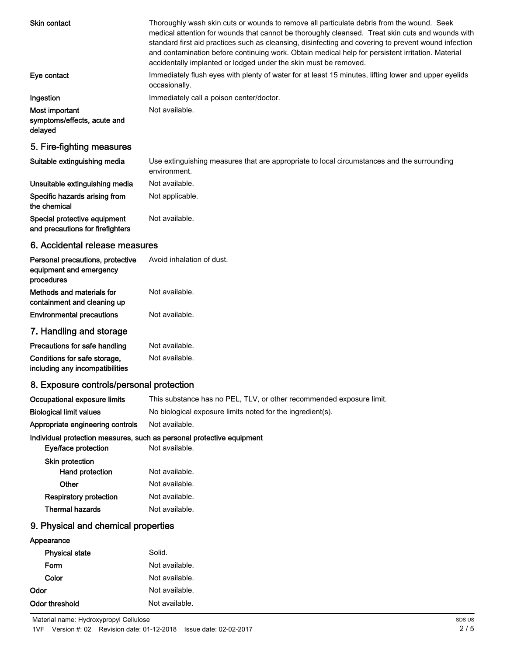| Skin contact                                                              | Thoroughly wash skin cuts or wounds to remove all particulate debris from the wound. Seek<br>medical attention for wounds that cannot be thoroughly cleansed. Treat skin cuts and wounds with<br>standard first aid practices such as cleansing, disinfecting and covering to prevent wound infection<br>and contamination before continuing work. Obtain medical help for persistent irritation. Material<br>accidentally implanted or lodged under the skin must be removed. |
|---------------------------------------------------------------------------|--------------------------------------------------------------------------------------------------------------------------------------------------------------------------------------------------------------------------------------------------------------------------------------------------------------------------------------------------------------------------------------------------------------------------------------------------------------------------------|
| Eye contact                                                               | Immediately flush eyes with plenty of water for at least 15 minutes, lifting lower and upper eyelids<br>occasionally.                                                                                                                                                                                                                                                                                                                                                          |
| Ingestion                                                                 | Immediately call a poison center/doctor.                                                                                                                                                                                                                                                                                                                                                                                                                                       |
| Most important<br>symptoms/effects, acute and<br>delayed                  | Not available.                                                                                                                                                                                                                                                                                                                                                                                                                                                                 |
| 5. Fire-fighting measures                                                 |                                                                                                                                                                                                                                                                                                                                                                                                                                                                                |
| Suitable extinguishing media                                              | Use extinguishing measures that are appropriate to local circumstances and the surrounding<br>environment.                                                                                                                                                                                                                                                                                                                                                                     |
| Unsuitable extinguishing media                                            | Not available.                                                                                                                                                                                                                                                                                                                                                                                                                                                                 |
| Specific hazards arising from<br>the chemical                             | Not applicable.                                                                                                                                                                                                                                                                                                                                                                                                                                                                |
| Special protective equipment<br>and precautions for firefighters          | Not available.                                                                                                                                                                                                                                                                                                                                                                                                                                                                 |
| 6. Accidental release measures                                            |                                                                                                                                                                                                                                                                                                                                                                                                                                                                                |
| Personal precautions, protective<br>equipment and emergency<br>procedures | Avoid inhalation of dust.                                                                                                                                                                                                                                                                                                                                                                                                                                                      |
| Methods and materials for<br>containment and cleaning up                  | Not available.                                                                                                                                                                                                                                                                                                                                                                                                                                                                 |
| <b>Environmental precautions</b>                                          | Not available.                                                                                                                                                                                                                                                                                                                                                                                                                                                                 |
| 7. Handling and storage                                                   |                                                                                                                                                                                                                                                                                                                                                                                                                                                                                |
| Precautions for safe handling                                             | Not available.                                                                                                                                                                                                                                                                                                                                                                                                                                                                 |
| Conditions for safe storage,<br>including any incompatibilities           | Not available.                                                                                                                                                                                                                                                                                                                                                                                                                                                                 |
| 8. Exposure controls/personal protection                                  |                                                                                                                                                                                                                                                                                                                                                                                                                                                                                |
| Occupational exposure limits                                              | This substance has no PEL, TLV, or other recommended exposure limit.                                                                                                                                                                                                                                                                                                                                                                                                           |
| <b>Biological limit values</b>                                            | No biological exposure limits noted for the ingredient(s).                                                                                                                                                                                                                                                                                                                                                                                                                     |
| Appropriate engineering controls                                          | Not available.                                                                                                                                                                                                                                                                                                                                                                                                                                                                 |
|                                                                           | Individual protection measures, such as personal protective equipment                                                                                                                                                                                                                                                                                                                                                                                                          |

#### Individual protection measures, such as personal protective equipment

| Not available. |
|----------------|
|                |
| Not available. |
| Not available. |
|                |
| Not available. |
|                |

# 9. Physical and chemical properties

| Appearance            |                |
|-----------------------|----------------|
| <b>Physical state</b> | Solid.         |
| Form                  | Not available. |
| Color                 | Not available. |
| Odor                  | Not available. |
| Odor threshold        | Not available. |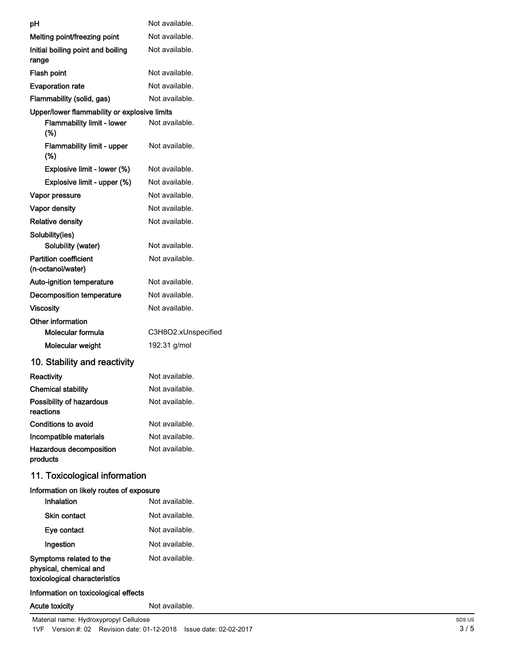| рH                                                      | Not available.      |
|---------------------------------------------------------|---------------------|
| Melting point/freezing point                            | Not available.      |
| Initial boiling point and boiling<br>range              | Not available.      |
| Flash point                                             | Not available.      |
| <b>Evaporation rate</b>                                 | Not available.      |
| Flammability (solid, gas)                               | Not available.      |
| Upper/lower flammability or explosive limits            |                     |
| <b>Flammability limit - lower</b><br>(%)                | Not available.      |
| <b>Flammability limit - upper</b><br>(%)                | Not available.      |
| Explosive limit - lower (%)                             | Not available.      |
| Explosive limit - upper (%)                             | Not available.      |
| Vapor pressure                                          | Not available.      |
| Vapor density                                           | Not available.      |
| <b>Relative density</b>                                 | Not available.      |
| Solubility(ies)                                         |                     |
| Solubility (water)                                      | Not available.      |
| <b>Partition coefficient</b><br>(n-octanol/water)       | Not available.      |
| Auto-ignition temperature                               | Not available.      |
| Decomposition temperature                               | Not available.      |
| <b>Viscosity</b>                                        | Not available.      |
| Other information                                       |                     |
| Molecular formula                                       | C3H8O2.xUnspecified |
| Molecular weight                                        | 192.31 g/mol        |
| 10. Stability and reactivity                            |                     |
| Reactivity                                              | Not available.      |
| <b>Chemical stability</b>                               | Not available.      |
| Possibility of hazardous<br>reactions                   | Not available.      |
| <b>Conditions to avoid</b>                              | Not available.      |
| Incompatible materials                                  | Not available.      |
| Hazardous decomposition<br>products                     | Not available.      |
| 11. Toxicological information                           |                     |
| Information on likely routes of exposure<br>Inhalation  | Not available.      |
| Skin contact                                            | Not available.      |
| Eye contact                                             | Not available.      |
| Ingestion                                               | Not available.      |
| Symptoms related to the                                 | Not available.      |
| physical, chemical and<br>toxicological characteristics |                     |
| Information on toxicological effects                    |                     |
| <b>Acute toxicity</b>                                   | Not available.      |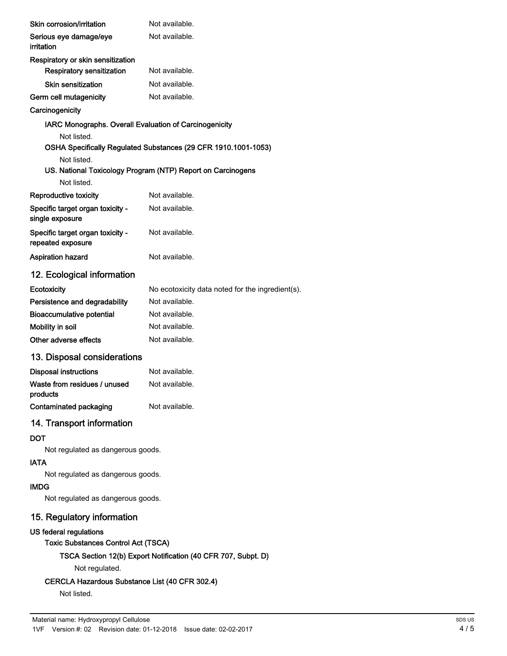| Not available.                                                 |
|----------------------------------------------------------------|
| Not available.                                                 |
|                                                                |
| Not available.                                                 |
| Not available.                                                 |
| Not available.                                                 |
|                                                                |
| IARC Monographs. Overall Evaluation of Carcinogenicity         |
| OSHA Specifically Regulated Substances (29 CFR 1910.1001-1053) |
| US. National Toxicology Program (NTP) Report on Carcinogens    |
|                                                                |
| Not available.                                                 |
| Not available.                                                 |
| Not available.                                                 |
| Not available.                                                 |
|                                                                |
| No ecotoxicity data noted for the ingredient(s).               |
| Not available.                                                 |
| Not available.                                                 |
| Not available.                                                 |
| Not available.                                                 |
| 13. Disposal considerations                                    |
| Not available.                                                 |
| Not available.                                                 |
| Not available.                                                 |
|                                                                |
|                                                                |
| Not regulated as dangerous goods.                              |
|                                                                |
| Not regulated as dangerous goods.                              |
|                                                                |
| Not regulated as dangerous goods.                              |
|                                                                |
|                                                                |
| <b>Toxic Substances Control Act (TSCA)</b>                     |
|                                                                |

TSCA Section 12(b) Export Notification (40 CFR 707, Subpt. D)

Not regulated.

## CERCLA Hazardous Substance List (40 CFR 302.4)

Not listed.